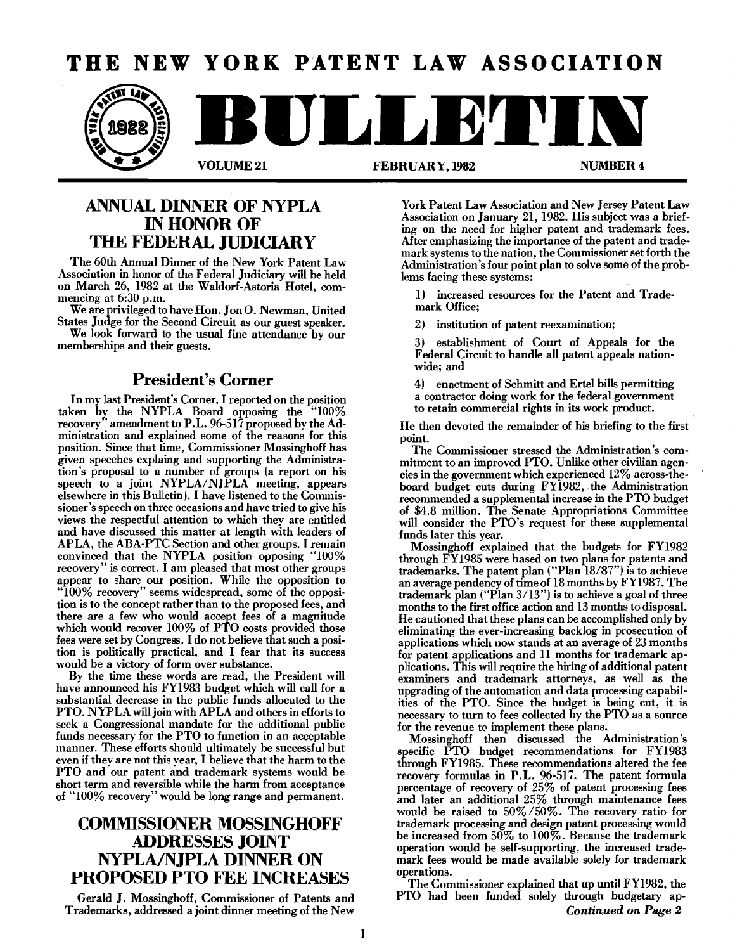# **THE NEW YORK PATENT LAW ASSOCIATION**



### ANNUAL DINNER OF NYPLA IN HONOR OF TIlE FEDERAL JUDICIARY

The 60th Annual Dinner of the New York Patent Law Association in honor of the Federal Judiciary will be held on March 26, 1982 at the Waldorf-Astoria Hotel, commencing at 6:30 p.m.

We are privileged to have Hon. Jon O. Newman, United States Judge for the Second Circuit as our guest speaker.

We look forward to the usual fine attendance by our memberships and their guests.

### President's Corner

In my last President's Corner, I reported on the position taken by the NYPLA Board opposing the "100% recovery" amendment to P.L. 96-517 proposed by the Ad ministration and explained some of the reasons for this position. Since that time, Commissioner Mossinghoff has given speeches explaing and supporting the Administration's proposal to a number of groups (a report on his speech to a joint NYPLA/NJPLA meeting, appears elsewhere in this Bulletin). I have listened to the Commissioner's speech on three occasions and have tried to give his views the respectful attention to which they are entitled and have discussed this matter at length with leaders of APLA, the ABA-PTC Section and other groups. I remain convinced that the NYPLA position opposing "100% recovery" is correct. I am pleased that most other groups appear to share our position. While the opposition to "100% recovery" seems widespread, some of the opposition is to the concept rather than to the proposed fees, and there are a few who would accept fees of a magnitude which would recover 100% of PTO costs provided those fees were set by Congress. I do not believe that such a position is politically practical, and I fear that its success would be a victory of form over substance.

By the time these words are read, the President will have announced his FY1983 budget which will call for a substantial decrease in the public funds allocated to the PTO. NYPLA will join with APLA and others in efforts to seek a Congressional mandate for the additional public funds necessary for the PTO to function in an acceptable manner. These efforts should ultimately be successful but even if they are not this year, I believe that the harm to the PTO and our patent and trademark systems would be short term and reversible while the harm from acceptance of "100% recovery" would be long range and permanent.

## COMMISSIONER MOSSINGHOFF ADDRESSES JOINT NYPLA/NjPLA DINNER ON PROPOSED PTO FEE INCREASES

Gerald J. Mossinghoff, Commissioner of Patents and Trademarks, addressed a joint dinner meeting of the New

York Patent Law Association and New Jersey Patent Law Association on January 21, 1982. His subject was a briefing on the need for higher patent and trademark fees. After emphasizing the importance of the patent and trademark systems to the nation, the Commissioner set forth the Administration's four point plan to solve some of the problems facing these systems:

1) increased resources for the Patent and Trademark Office;

2) institution of patent reexamination;

establishment of Court of Appeals for the Federal Circuit to handle all patent appeals nationwide; and

4) enactment of Schmitt and Ertel bills permitting a contractor doing work for the federal government to retain commercial rights in its work product.

He then devoted the remainder of his briefing to the first point.

The Commissioner stressed the Administration's commitment to an improved PTO. Unlike other civilian agencies in the government which experienced 12% across-theboard budget cuts during FY1982, the Administration recommended a supplemental increase in the PTO budget of \$4.8 million. The Senate Appropriations Committee will consider the PTO's request for these supplemental funds later this year.

Mossinghoff explained that the budgets for FY1982 through FY1985 were based on two plans for patents and trademarks. The patent plan ("Plan 18/87") is to achieve an average pendency of time of  $18$  months by  $\rm{FY1987.}$  The trademark plan ("Plan *3/13")* is to achieve a goal of three months to the first office action and 13 months to disposal. He cautioned that these plans can be accomplished only by eliminating the ever-increasing backlog in prosecution of applications which now stands at an average of 23 months for patent applications and 11 months for trademark applications. This will require the hiring of additional patent examiners and trademark attorneys, as well as the upgrading of the automation and data processing capabilities of the PTO. Since the budget is being cut, it is necessary to turn to fees collected by the PTO as a source for the revenue to implement these plans.

Mossinghoff then discussed the Administration's specific PTO budget recommendations for FY1983 through FY1985. These recommendations altered the fee recovery formulas in P.L. 96-517. The patent formula percentage of recovery of 25% of patent processing fees and later an additional 25% through maintenance fees would be raised to 50% *150%.* The recovery ratio for trademark processing and design patent processing would be increased from 50% to 100%. Because the trademark operation would be self-supporting, the increased trademark fees would be made available solely for trademark operations.

The Commissioner explained that up until FY1982, the PTO had been funded solely through budgetary ap-*Continued on Page 2*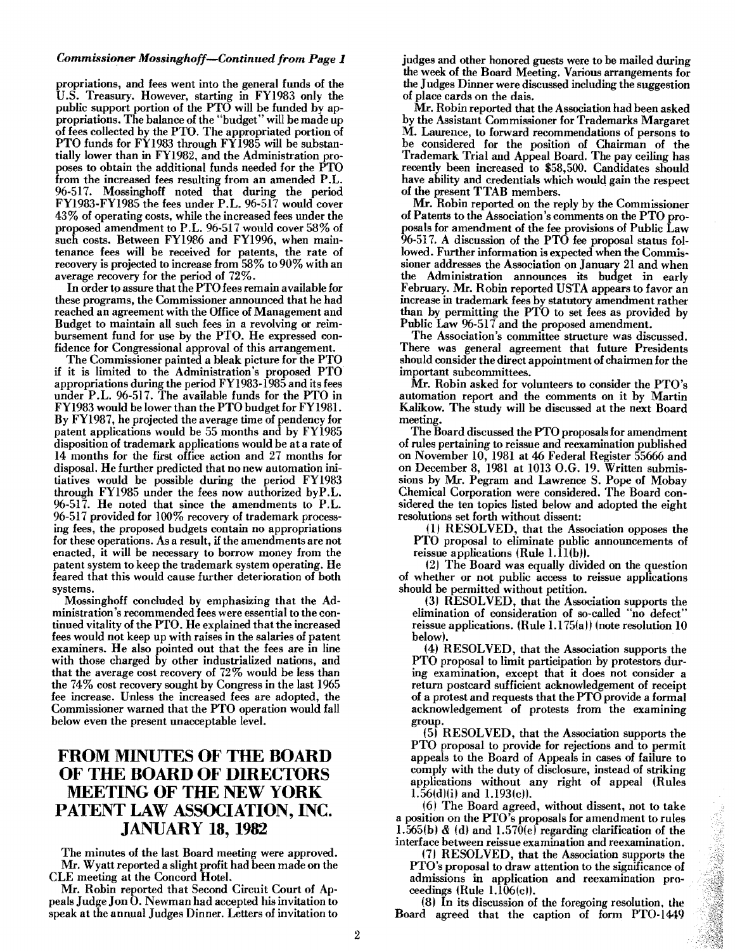### *Commissioner Mossinghoff-Continued from Page 1*

propriations, and fees went into the general funds of the U.S. Treasury. However, starting in FY1983 only the public support portion of the PTO will be funded by appropriations. The balance of the "budget" will be made up of fees collected by the PTO. The appropriated portion of PTO funds for FY1983 through  $F\bar{Y}$ 1985 will be substantially lower than in FY1982, and the Administration proposes to obtain the additional funds needed for the PTO from the increased fees resulting from an amended P.L. 96-517. Mossinghoff noted that during the period FY1983-FY1985 the fees under P.L. 96-517 would cover 43% of operating costs, while the increased fees under the proposed amendment to P.L. 96-517 would cover 58 % of such costs. Between FY1986 and FY1996, when maintenance fees will be received for patents, the rate of recovery is projected to increase from 58% to 90% with an average recovery for the period of 72%.

In order to assure that the PTO fees remain available for these programs, the Commissioner announced that he had reached an agreement with the Office of Management and Budget to maintain all such fees in a revolving or reimbursement fund for use by the PTO. He expressed confidence for Congressional approval of this arrangement.

The Commissioner painted a bleak picture for the PTO if it is limited to the Administration's proposed PTO appropriations during the period FY 1983-1985 and its fees under P.L. 96-517. The available funds for the PTO in FY1983 would be lower than the PTO budget for FY1981. By FY1987, he projected the average time of pendency for patent applications would be 55 months and by FY1985 disposition of trademark applications would be at a rate of 14 months for the first office action and 27 months for disposal. He further predicted that no new automation initiatives would be possible during the period FY1983 through FY1985 under the fees now authorized byP.L. %-517. He noted that since the amendments to P.L. 96-517 provided for 100% recovery of trademark processing fees, the proposed budgets contain no appropriations for these operations. As a result, if the amendments are not enacted, it will be necessary to borrow money from the patent system to keep the trademark system operating. He feared that this would cause further deterioration of both systems.

Mossinghoff concluded by emphasizing that the Administration's recommended fees were essential to the continued vitality of the PTO. He explained that the increased fees would not keep up with raises in the salaries of patent examiners. He also pointed out that the fees are in line with those charged by other industrialized nations, and that the average cost recovery of 72 % would be less than the 74% cost recovery sought by Congress in the last 1965 fee increase. Unless the increased fees are adopted, the Commissioner warned that the PTO operation would fall below even the present unacceptable level.

### FROM MINUTES OF TIlE BOARD OF THE BOARD OF DIRECTORS MEETING OF THE NEW YORK PATENT LAW ASSOCIATION, INC. JANUARY 18, 1982

The minutes of the last Board meeting were approved. Mr. Wyatt reported a slight profit had been made on the CLE meeting at the Concord Hotel.

Mr. Robin reported that Second Circuit Court of Appeals Judge Jou O. Newman had accepted his invitation to speak at the annual Judges Dinner. Letters of invitation to judges and other honored guests were to be mailed during the week of the Board Meeting. Various arrangements for the Judges Dinner were discussed including the suggestion of place cards on the dais.

Mr. Robin reported that the Association had been asked by the Assistant Commissioner for Trademarks Margaret M. Laurence, to forward recommendations of persons to be considered for the position of Chairman of the Trademark Trial and Appeal Board. The pay ceiling has recently been increased to \$58,500. Candidates should have ability and credentials which would gain the respect of the present TTAB members.

Mr. Robin reported on the reply by the Commissioner of Patents to the Association's comments on the PTO proposals for amendment of the fee provisions of Public Law 96-517. A discussion of the PTO fee proposal status followed. Further information is expected when the Commissioner addresses the Association on January 21 and when the Administration announces its budget in early February. Mr. Robin reported USTA appears to favor an increase in trademark fees by statutory amendment rather than by permitting the PTO to set fees as provided by Public Law 96-517 and the proposed amendment.

The Association's committee structure was discussed. There was general agreement that future Presidents should consider the direct appointment of chairmen for the important subcommittees.

Mr. Robin asked for volunteers to consider the PTO's automation report and the comments on it by Martin Kalikow. The study will be discussed at the next Board meeting.

The Board discussed the PTO proposals for amendment of rules pertaining to reissue and reexamination published on November 10, 1981 at 46 Federal Register 55666 and on December 8, 1981 at 1013 O.G. 19. Written submissions by Mr. Pegram and Lawrence S. Pope of Mohay Chemical Corporation were considered. The Board considered the ten topics listed below and adopted the eight resolutions set forth without dissent:

(11 RESOLVED, that the Association opposes the PTO proposal to eliminate public announcements of reissue applications (Rule  $1.\overline{11(b)}$ ).

(2) The Board was equally divided on the question of whether or not public access to reissue applications should be permitted without petition.

(3) RESOLVED, that the Association supports the elimination of consideration of so-called "no defect" reissue applications. (Rule 1.175(a)) (note resolution 10 below).

(4) RESOLVED, that the Association supports the PTO proposal to limit participation by protestors during examination, except that it does not consider a return postcard sufficient acknowledgement of receipt of a protest and requests that the PTO provide a formal acknowledgement of protests from the examining group.

(5) RESOLVED, that the Association supports the PTO proposal to provide for rejections and to permit appeals to the Board of Appeals in cases of failure to comply with the duty of disclosure, instead of striking applications without any right of appeal (Rules l.56(d)(i) and 1.193(c)).

(6) The Board agreed, without dissent, not to take a position on the PTO's proposals for amendment to rules 1.565(b) & (d) and 1.570(e) regarding clarification of the interlace between reissue examination and reexamination.

(7) RESOLVED, that the Association supports the PTO's proposal to draw attention to the significance of admissions in application and reexamination proceedings (Rule  $1.\overline{106(c)}$ ).

(8) In its discussion of the foregoing resolution, the Board agreed that the caption of form PTO·1449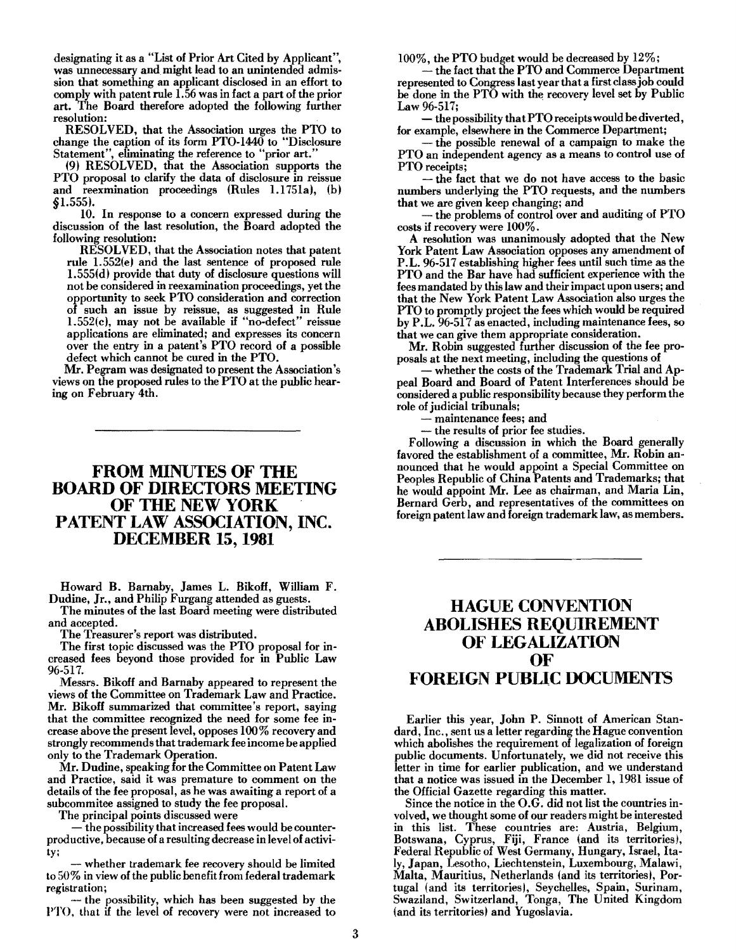designating it as a "List of Prior Art Cited by Applicant", was unnecessary and might lead to an unintended admission that something an applicant disclosed in an effort to comply with patent rule 1.56 was in fact a part of the prior art. The Board therefore adopted the following further resolution:

RESOLVED, that the Association urges the PTO to change the caption of its form PTO-I440 to "Disclosure Statement", eliminating the reference to "prior art."

(9) RESOLVED, that the Association supports the PTO proposal to clarify the data of disclosure in reissue and reexmination proceedings (Rules 1. 1751a), (b) §1.555).

10. In response to a concern expressed during the discussion of the last resolution, the Board adopted the following resolution:

RESOLVED, that the Association notes that patent rule 1.552(e) and the last sentence of proposed rule 1.555(d) provide that duty of disclosure questions will not be considered in reexamination proceedings, yet the opportunity to seek PTO consideration and correction of such an issue by reissue, as suggested in Rule 1.552(c), may not be available if "no-defect" reissue applications are eliminated; and expresses its concern over the entry in a patent's PTO record of a possible defect which cannot be cured in the PTO.

Mr. Pegram was designated to present the Association's views on the proposed rules to the PTO at the public hearing on February 4th.

### **FROM MINUTES OF THE BOARD OF DIRECTORS MEETING OF THE NEW YORK PATENT LAW ASSOCIATION, INC. DECEMBER 15, 1981**

Howard B. Baruaby, James L. Bikoff, William F. Dudine, Jr., and Philip Furgang attended as guests.

The minutes of the last Board meeting were distributed and accepted.

The Treasurer's report was distributed.

The first topic discussed was the PTO proposal for increased fees beyond those provided for in Public Law 96-517.

Messrs. Bikoff and Barnaby appeared to represent the views of the Committee on Trademark Law and Practice. Mr. Bikoff summarized that committee's report, saying that the committee recognized the need for some fee increase above the present level, opposes 100% recovery and strongly recommends that trademark fee income be applied only to the Trademark Operation.

Mr. Dudine, speaking for the Committee on Patent Law and Practice, said it was premature to comment on the details of the fee proposal, as he was awaiting a report of a subcommitee assigned to study the fee proposal.<br>The principal points discussed were

- the possibility that increased fees would be counterproductive, because of a resulting decrease in level of activity;

whether trademark fee recovery should be limited to 50% in view of the public benefit from federal trademark

-- the possibility, which has been suggested by the PTO. that if the level of recovery were not increased to

100%, the PTO budget would be decreased by 12%;<br>-- the fact that the PTO and Commerce Department represented to Congress last year that a first class job could be done in the PTO with the recovery level set by Public Law 96-517;

- the possibility that PTO receipts would be diverted, for example, elsewhere in the Commerce Department;

- the possible renewal of a campaign to make the PTO an independent agency as a means to control use of PTO receipts;

- the fact that we do not have access to the basic numbers underlying the PTO requests, and the numbers

that we are given keep changing; and<br>- the problems of control over and auditing of PTO costs if recovery were 100%.

A resolution was unanimously adopted that the New York Patent Law Association opposes any amendment of P.L. 96-517 establishing higher fees until such time as the PTO and the Bar have had sufficient experience with the fees mandated by this law and their impact upon users; and that the New York Patent Law Association also urges the PTO to promptly project the fees which would be required by P.L. 96-517 as enacted, including maintenance fees, so that we can give them appropriate consideration.

Mr. Robin suggested further discussion of the fee proposals at the next meeting, including the questions of

- whether the costs of the Trademark Trial and Appeal Board and Board of Patent Interferences should be considered a public responsibility because they perform the role of judicial tribunals;

- maintenance fees; and

- the results of prior fee studies.

Following a discussion in which the Board generally favored the establishment of a committee, Mr. Robin announced that he would appoint a Special Committee on Peoples Republic of China Patents and Trademarks; that he would appoint Mr. Lee as chairman, and Maria Lin, Bernard Gerb, and representatives of the committees on foreign patent law and foreign trademark law, as members.

## **HAGUE CONVENTION ABOLISHES REQUIREMENT OF LEGALIZATION OF FOREIGN PUBLIC DOCUMENTS**

Earlier this year, John P. Sinnott of American Standard, Inc., sent us a letter regarding the Hague convention which abolishes the requirement of legalization of foreign public documents. Unfortunately, we did not receive this letter in time for earlier publication, and we understand that a notice was issued in the December 1, 1981 issue of the Official Gazette regarding this matter.

Since the notice in the O.G. did not list the countries involved, we thought some of our readers might be interested in this list. These countries are: Austria, Belgium, Botswana, Cyprus, Fiji, France (and its territories), Federal Republic of West Germany, Hungary, Israel, Italy, Japan, Lesotho, Liechtenstein, Luxembourg, Malawi, Malta, Mauritius, Netherlands (and its territories), Portugal (and its territories), Seychelles, Spain, Surinam, Swaziland, Switzerland, Tonga, The United Kingdom (and its territories) and Yugoslavia.